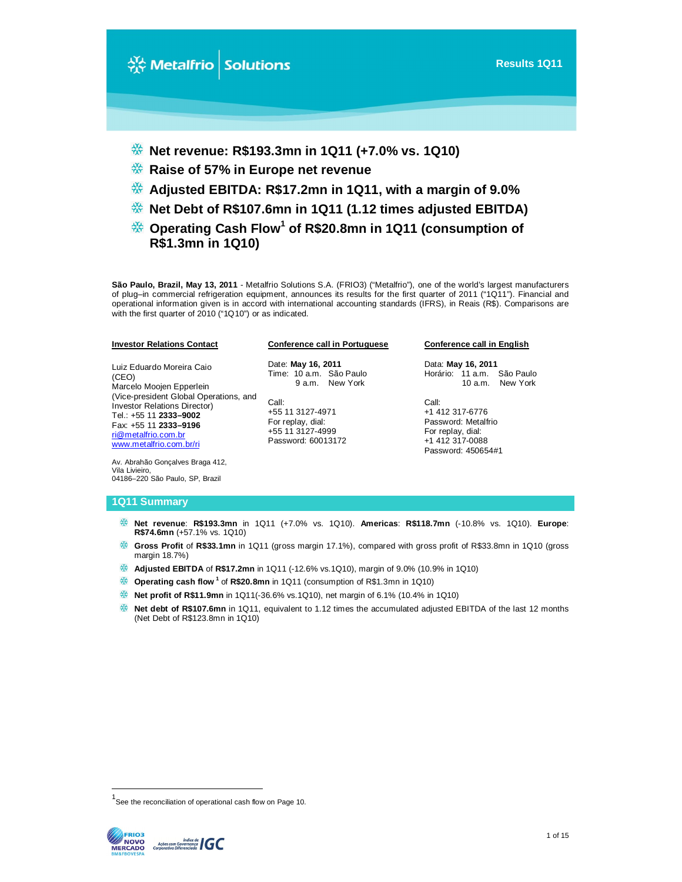

- **Adjusted EBITDA: R\$17.2mn in 1Q11, with a margin of 9.0%**
- **Net Debt of R\$107.6mn in 1Q11 (1.12 times adjusted EBITDA)**
- **Operating Cash Flow<sup>1</sup> of R\$20.8mn in 1Q11 (consumption of R\$1.3mn in 1Q10)**

**Conference call in Portuguese**

**São Paulo, Brazil, May 13, 2011** - Metalfrio Solutions S.A. (FRIO3) ("Metalfrio"), one of the world's largest manufacturers of plug–in commercial refrigeration equipment, announces its results for the first quarter of 2011 ("1Q11"). Financial and operational information given is in accord with international accounting standards (IFRS), in Reais (R\$). Comparisons are with the first quarter of 2010 ("1Q10") or as indicated.

| Luiz Eduardo Moreira Caio<br>(CEO)<br>Marcelo Moojen Epperlein<br>(Vice-president Global Operations, and<br><b>Investor Relations Director)</b><br>Tel.: +55 11 2333-9002<br>Fax: +55 11 2333-9196<br>ri@metalfrio.com.br<br>www.metalfrio.com.br/ri | Date: May 16, 2011<br>Time: 10 a.m. São Paulo<br>9 a.m. New York<br>Call:<br>+55 11 3127-4971<br>For replay, dial:<br>+55 11 3127-4999<br>Password: 60013172 |
|------------------------------------------------------------------------------------------------------------------------------------------------------------------------------------------------------------------------------------------------------|--------------------------------------------------------------------------------------------------------------------------------------------------------------|
| Av. Abrahão Goncalves Braga 412,                                                                                                                                                                                                                     |                                                                                                                                                              |

#### **Conference call in English**

Data: **May 16, 2011** Horário: 11 a.m. São Paulo 10 a.m. New York

Call: +1 412 317-6776 Password: Metalfrio For replay, dial: +1 412 317-0088 Password: 450654#1

#### **1Q11 Summary**

04186–220 São Paulo, SP, Brazil

Vila Livieiro,

**Investor Relations Contact**

- **Net revenue**: **R\$193.3mn** in 1Q11 (+7.0% vs. 1Q10). **Americas**: **R\$118.7mn** (-10.8% vs. 1Q10). **Europe**: **R\$74.6mn** (+57.1% vs. 1Q10)
- **Gross Profit** of **R\$33.1mn** in 1Q11 (gross margin 17.1%), compared with gross profit of R\$33.8mn in 1Q10 (gross margin 18.7%)
- **Adjusted EBITDA** of **R\$17.2mn** in 1Q11 (-12.6% vs.1Q10), margin of 9.0% (10.9% in 1Q10)
- **Operating cash flow<sup>1</sup> of R\$20.8mn** in 1Q11 (consumption of R\$1.3mn in 1Q10)
- **Net profit of R\$11.9mn** in 1Q11(-36.6% vs.1Q10), net margin of 6.1% (10.4% in 1Q10)
- **Net debt of R\$107.6mn** in 1Q11, equivalent to 1.12 times the accumulated adjusted EBITDA of the last 12 months (Net Debt of R\$123.8mn in 1Q10)

<sup>&</sup>lt;sup>1</sup>See the reconciliation of operational cash flow on Page 10.



 $\overline{\phantom{a}}$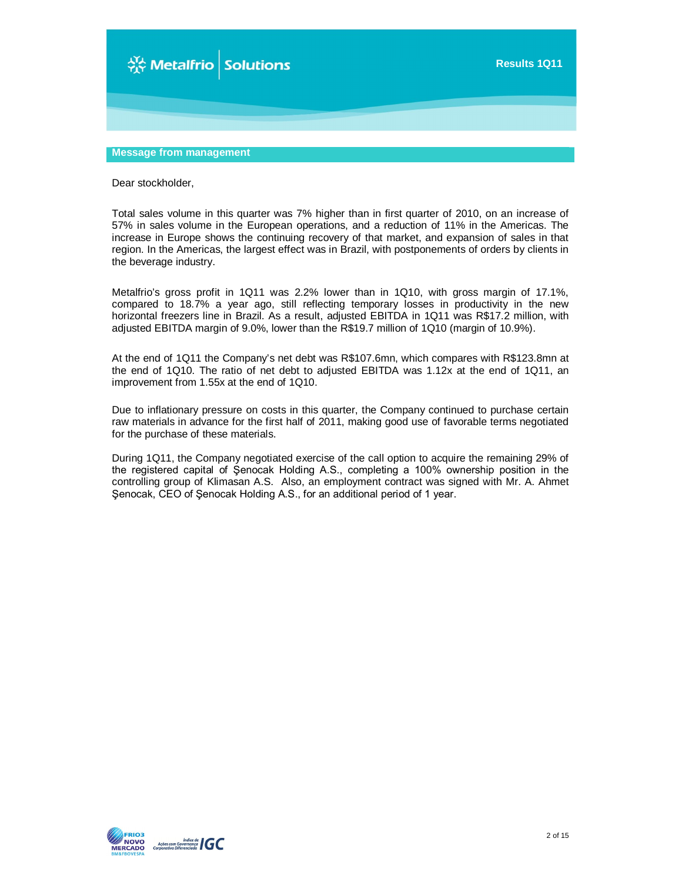

# **Message from management**

Dear stockholder,

Total sales volume in this quarter was 7% higher than in first quarter of 2010, on an increase of 57% in sales volume in the European operations, and a reduction of 11% in the Americas. The increase in Europe shows the continuing recovery of that market, and expansion of sales in that region. In the Americas, the largest effect was in Brazil, with postponements of orders by clients in the beverage industry.

Metalfrio's gross profit in 1Q11 was 2.2% lower than in 1Q10, with gross margin of 17.1%, compared to 18.7% a year ago, still reflecting temporary losses in productivity in the new horizontal freezers line in Brazil. As a result, adjusted EBITDA in 1Q11 was R\$17.2 million, with adjusted EBITDA margin of 9.0%, lower than the R\$19.7 million of 1Q10 (margin of 10.9%).

At the end of 1Q11 the Company's net debt was R\$107.6mn, which compares with R\$123.8mn at the end of 1Q10. The ratio of net debt to adjusted EBITDA was 1.12x at the end of 1Q11, an improvement from 1.55x at the end of 1Q10.

Due to inflationary pressure on costs in this quarter, the Company continued to purchase certain raw materials in advance for the first half of 2011, making good use of favorable terms negotiated for the purchase of these materials.

During 1Q11, the Company negotiated exercise of the call option to acquire the remaining 29% of the registered capital of Şenocak Holding A.S., completing a 100% ownership position in the controlling group of Klimasan A.S. Also, an employment contract was signed with Mr. A. Ahmet Şenocak, CEO of Şenocak Holding A.S., for an additional period of 1 year.

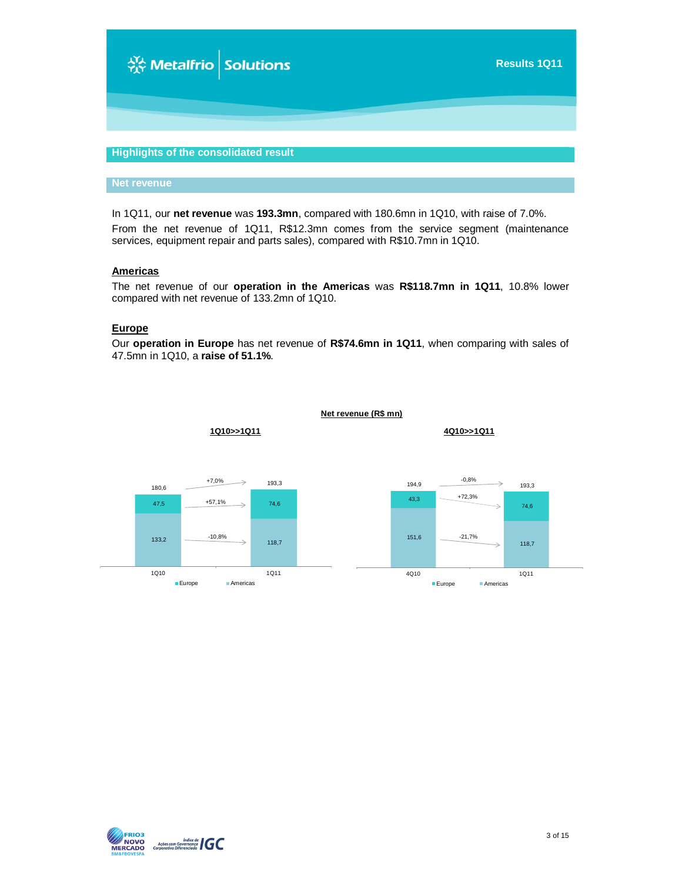

# **Highlights of the consolidated result**

#### **Net revenue**

In 1Q11, our **net revenue** was **193.3mn**, compared with 180.6mn in 1Q10, with raise of 7.0%. From the net revenue of 1Q11, R\$12.3mn comes from the service segment (maintenance services, equipment repair and parts sales), compared with R\$10.7mn in 1Q10.

### **Americas**

The net revenue of our **operation in the Americas** was **R\$118.7mn in 1Q11**, 10.8% lower compared with net revenue of 133.2mn of 1Q10.

#### **Europe**

Our **operation in Europe** has net revenue of **R\$74.6mn in 1Q11**, when comparing with sales of 47.5mn in 1Q10, a **raise of 51.1%**.



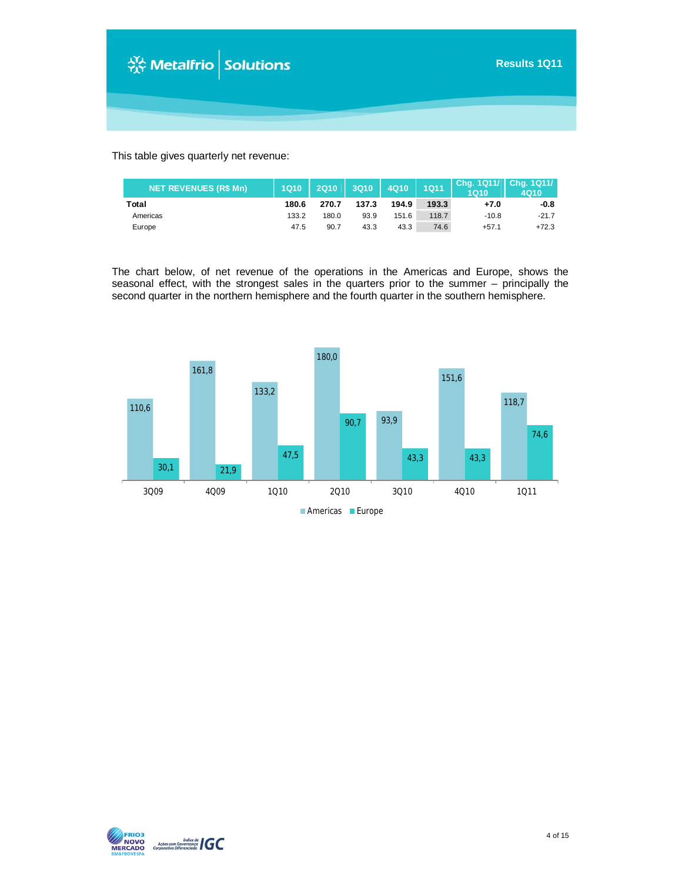

This table gives quarterly net revenue:

| <b>NET REVENUES (R\$ Mn)</b> | 1Q10  | 2Q10  |       | 3Q10 4Q10 1Q11 |       | 1010    | Chg. 1Q11/ Chg. 1Q11/<br><b>4Q10</b> |
|------------------------------|-------|-------|-------|----------------|-------|---------|--------------------------------------|
| Total                        | 180.6 | 270.7 | 137.3 | 194.9          | 193.3 | $+7.0$  | -0.8                                 |
| Americas                     | 133.2 | 180.0 | 93.9  | 151.6          | 118.7 | $-10.8$ | $-21.7$                              |
| Europe                       | 47.5  | 90.7  | 43.3  | 43.3           | 74.6  | $+57.1$ | $+72.3$                              |

The chart below, of net revenue of the operations in the Americas and Europe, shows the seasonal effect, with the strongest sales in the quarters prior to the summer – principally the second quarter in the northern hemisphere and the fourth quarter in the southern hemisphere.



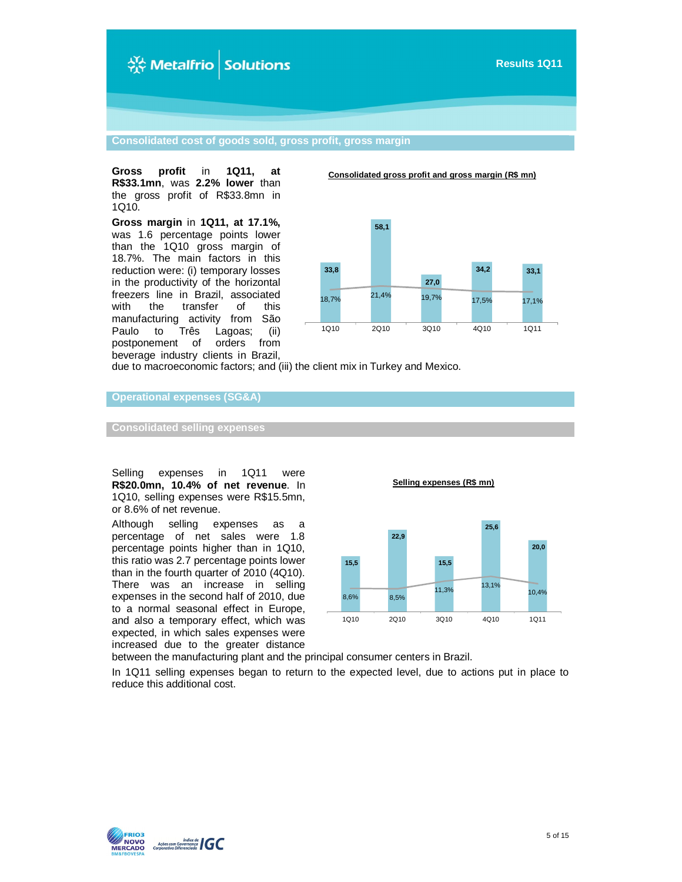

**Consolidated cost of goods sold, gross profit, gross margin**

**Gross profit** in **1Q11, at R\$33.1mn**, was **2.2% lower** than the gross profit of R\$33.8mn in 1Q10.

**Gross margin** in **1Q11, at 17.1%,** was 1.6 percentage points lower than the 1Q10 gross margin of 18.7%. The main factors in this reduction were: (i) temporary losses in the productivity of the horizontal freezers line in Brazil, associated with the transfer of this manufacturing activity from São<br>Paulo to Três Lagoas; (ii) Paulo to Três Lagoas; (ii)<br>postponement of orders from postponement of beverage industry clients in Brazil, **Consolidated gross profit and gross margin (R\$ mn)**



due to macroeconomic factors; and (iii) the client mix in Turkey and Mexico.

**Operational expenses (SG&A)**

**Consolidated selling expenses**

Selling expenses in 1Q11 were **R\$20.0mn, 10.4% of net revenue**. In 1Q10, selling expenses were R\$15.5mn, or 8.6% of net revenue.

Although selling expenses as a percentage of net sales were 1.8 percentage points higher than in 1Q10, this ratio was 2.7 percentage points lower than in the fourth quarter of 2010 (4Q10). There was an increase in selling expenses in the second half of 2010, due to a normal seasonal effect in Europe, and also a temporary effect, which was expected, in which sales expenses were increased due to the greater distance **Selling expenses (R\$ mn)**



between the manufacturing plant and the principal consumer centers in Brazil.

In 1Q11 selling expenses began to return to the expected level, due to actions put in place to reduce this additional cost.

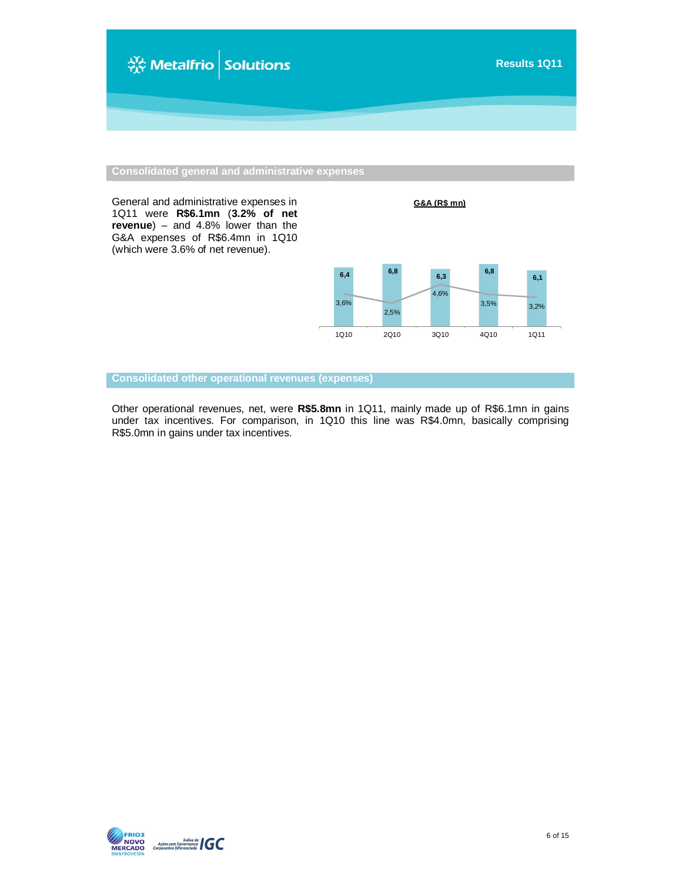

**Consolidated general and administrative expenses**

General and administrative expenses in 1Q11 were **R\$6.1mn** (**3.2% of net revenue**) – and 4.8% lower than the G&A expenses of R\$6.4mn in 1Q10 (which were 3.6% of net revenue).

**G&A (R\$ mn)**



**Consolidated other operational revenues (expenses)**

Other operational revenues, net, were **R\$5.8mn** in 1Q11, mainly made up of R\$6.1mn in gains under tax incentives. For comparison, in 1Q10 this line was R\$4.0mn, basically comprising R\$5.0mn in gains under tax incentives.

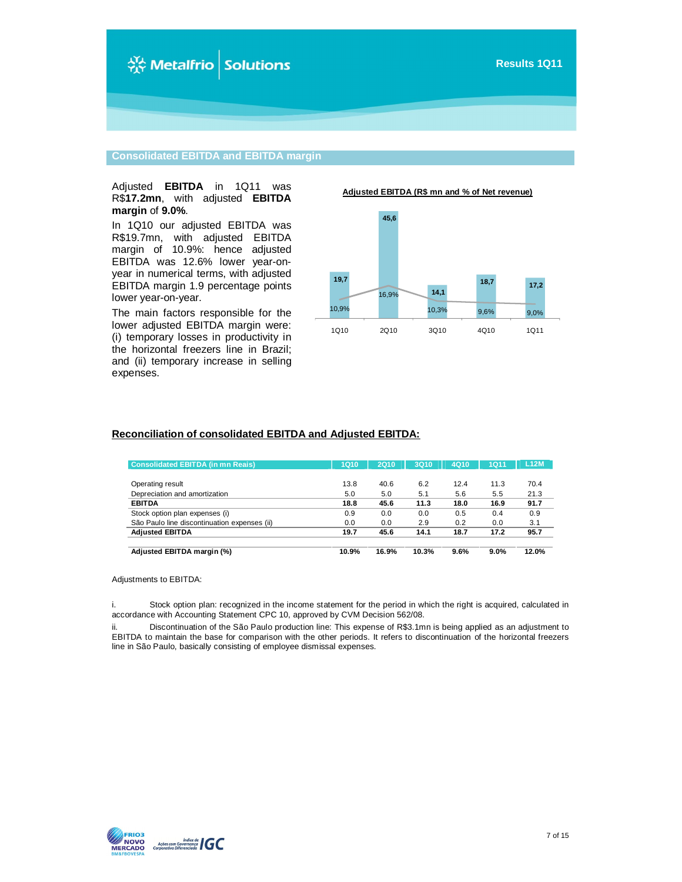

#### **Consolidated EBITDA and EBITDA margin**

#### Adjusted **EBITDA** in 1Q11 was R\$**17.2mn**, with adjusted **EBITDA margin** of **9.0%**.

In 1Q10 our adjusted EBITDA was R\$19.7mn, with adjusted EBITDA margin of 10.9%: hence adjusted EBITDA was 12.6% lower year-onyear in numerical terms, with adjusted EBITDA margin 1.9 percentage points lower year-on-year.

The main factors responsible for the lower adjusted EBITDA margin were: (i) temporary losses in productivity in the horizontal freezers line in Brazil; and (ii) temporary increase in selling expenses.

**Adjusted EBITDA (R\$ mn and % of Net revenue)**



#### **Reconciliation of consolidated EBITDA and Adjusted EBITDA:**

| <b>Consolidated EBITDA (in mn Reais)</b>     | <b>1Q10</b> | <b>2Q10</b> | 3Q10  | 4Q10 | <b>1Q11</b> | <b>L12M</b> |
|----------------------------------------------|-------------|-------------|-------|------|-------------|-------------|
|                                              |             |             |       |      |             |             |
| Operating result                             | 13.8        | 40.6        | 6.2   | 12.4 | 11.3        | 70.4        |
| Depreciation and amortization                | 5.0         | 5.0         | 5.1   | 5.6  | 5.5         | 21.3        |
| <b>EBITDA</b>                                | 18.8        | 45.6        | 11.3  | 18.0 | 16.9        | 91.7        |
| Stock option plan expenses (i)               | 0.9         | 0.0         | 0.0   | 0.5  | 0.4         | 0.9         |
| São Paulo line discontinuation expenses (ii) | 0.0         | 0.0         | 2.9   | 0.2  | 0.0         | 3.1         |
| <b>Adjusted EBITDA</b>                       | 19.7        | 45.6        | 14.1  | 18.7 | 17.2        | 95.7        |
|                                              |             |             |       |      |             |             |
| Adjusted EBITDA margin (%)                   | 10.9%       | 16.9%       | 10.3% | 9.6% | 9.0%        | 12.0%       |

#### Adjustments to EBITDA:

i. Stock option plan: recognized in the income statement for the period in which the right is acquired, calculated in accordance with Accounting Statement CPC 10, approved by CVM Decision 562/08.

ii. Discontinuation of the São Paulo production line: This expense of R\$3.1mn is being applied as an adjustment to EBITDA to maintain the base for comparison with the other periods. It refers to discontinuation of the horizontal freezers line in São Paulo, basically consisting of employee dismissal expenses.

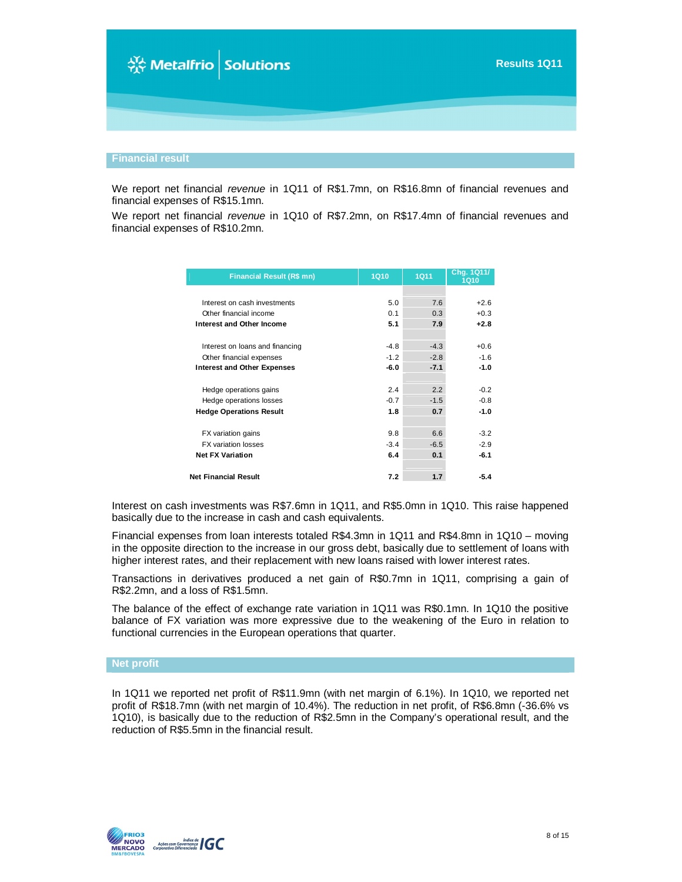# ☆ Metalfrio Solutions

We report net financial *revenue* in 1Q11 of R\$1.7mn, on R\$16.8mn of financial revenues and financial expenses of R\$15.1mn.

We report net financial *revenue* in 1Q10 of R\$7.2mn, on R\$17.4mn of financial revenues and financial expenses of R\$10.2mn.

| <b>Financial Result (R\$ mn)</b>   | <b>1Q10</b> | <b>1Q11</b> | Chg. 1Q11/<br><b>1Q10</b> |
|------------------------------------|-------------|-------------|---------------------------|
|                                    |             |             |                           |
| Interest on cash investments       | 5.0         | 7.6         | $+2.6$                    |
| Other financial income             | 0.1         | 0.3         | $+0.3$                    |
| Interest and Other Income          | 5.1         | 7.9         | $+2.8$                    |
| Interest on loans and financing    | $-4.8$      | $-4.3$      | $+0.6$                    |
| Other financial expenses           | $-1.2$      | $-2.8$      | $-1.6$                    |
| <b>Interest and Other Expenses</b> | $-6.0$      | $-7.1$      | $-1.0$                    |
|                                    |             |             |                           |
| Hedge operations gains             | 2.4         | 2.2         | $-0.2$                    |
| Hedge operations losses            | $-0.7$      | $-1.5$      | $-0.8$                    |
| <b>Hedge Operations Result</b>     | 1.8         | 0.7         | $-1.0$                    |
|                                    |             |             |                           |
| FX variation gains                 | 9.8         | 6.6         | $-3.2$                    |
| <b>FX</b> variation losses         | $-3.4$      | $-6.5$      | $-2.9$                    |
| <b>Net FX Variation</b>            | 6.4         | 0.1         | $-6.1$                    |
| <b>Net Financial Result</b>        | 7.2         | 1.7         | $-5.4$                    |

Interest on cash investments was R\$7.6mn in 1Q11, and R\$5.0mn in 1Q10. This raise happened basically due to the increase in cash and cash equivalents.

Financial expenses from loan interests totaled R\$4.3mn in 1Q11 and R\$4.8mn in 1Q10 – moving in the opposite direction to the increase in our gross debt, basically due to settlement of loans with higher interest rates, and their replacement with new loans raised with lower interest rates.

Transactions in derivatives produced a net gain of R\$0.7mn in 1Q11, comprising a gain of R\$2.2mn, and a loss of R\$1.5mn.

The balance of the effect of exchange rate variation in 1Q11 was R\$0.1mn. In 1Q10 the positive balance of FX variation was more expressive due to the weakening of the Euro in relation to functional currencies in the European operations that quarter.

#### **Net profit**

In 1Q11 we reported net profit of R\$11.9mn (with net margin of 6.1%). In 1Q10, we reported net profit of R\$18.7mn (with net margin of 10.4%). The reduction in net profit, of R\$6.8mn (-36.6% vs 1Q10), is basically due to the reduction of R\$2.5mn in the Company's operational result, and the reduction of R\$5.5mn in the financial result.

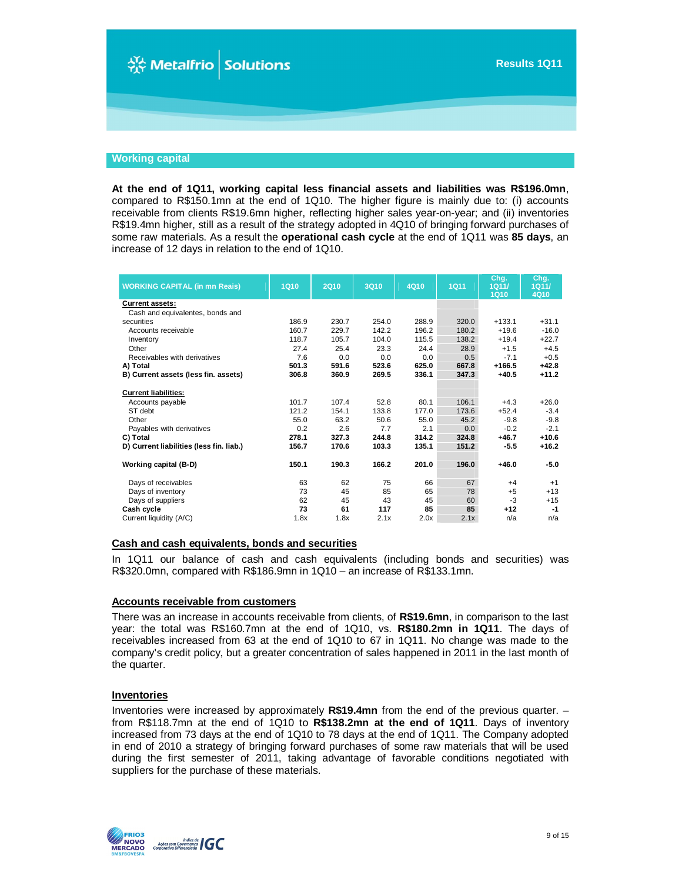

#### **Working capital**

**At the end of 1Q11, working capital less financial assets and liabilities was R\$196.0mn**, compared to R\$150.1mn at the end of 1Q10. The higher figure is mainly due to: (i) accounts receivable from clients R\$19.6mn higher, reflecting higher sales year-on-year; and (ii) inventories R\$19.4mn higher, still as a result of the strategy adopted in 4Q10 of bringing forward purchases of some raw materials. As a result the **operational cash cycle** at the end of 1Q11 was **85 days**, an increase of 12 days in relation to the end of 1Q10.

| <b>WORKING CAPITAL (in mn Reais)</b>     | <b>1Q10</b> | <b>2Q10</b> | <b>3Q10</b> | 4Q10  | <b>1Q11</b> | Chg.<br>1Q11/<br><b>1Q10</b> | Cha.<br>1Q11/<br>4Q10 |
|------------------------------------------|-------------|-------------|-------------|-------|-------------|------------------------------|-----------------------|
| <b>Current assets:</b>                   |             |             |             |       |             |                              |                       |
| Cash and equivalentes, bonds and         |             |             |             |       |             |                              |                       |
| securities                               | 186.9       | 230.7       | 254.0       | 288.9 | 320.0       | $+133.1$                     | $+31.1$               |
| Accounts receivable                      | 160.7       | 229.7       | 142.2       | 196.2 | 180.2       | $+19.6$                      | $-16.0$               |
| Inventory                                | 118.7       | 105.7       | 104.0       | 115.5 | 138.2       | $+19.4$                      | $+22.7$               |
| Other                                    | 27.4        | 25.4        | 23.3        | 24.4  | 28.9        | $+1.5$                       | $+4.5$                |
| Receivables with derivatives             | 7.6         | 0.0         | 0.0         | 0.0   | 0.5         | $-7.1$                       | $+0.5$                |
| A) Total                                 | 501.3       | 591.6       | 523.6       | 625.0 | 667.8       | $+166.5$                     | $+42.8$               |
| B) Current assets (less fin. assets)     | 306.8       | 360.9       | 269.5       | 336.1 | 347.3       | $+40.5$                      | $+11.2$               |
| <b>Current liabilities:</b>              |             |             |             |       |             |                              |                       |
| Accounts payable                         | 101.7       | 107.4       | 52.8        | 80.1  | 106.1       | $+4.3$                       | $+26.0$               |
| ST debt                                  | 121.2       | 154.1       | 133.8       | 177.0 | 173.6       | $+52.4$                      | $-3.4$                |
| Other                                    | 55.0        | 63.2        | 50.6        | 55.0  | 45.2        | $-9.8$                       | $-9.8$                |
| Payables with derivatives                | 0.2         | 2.6         | 7.7         | 2.1   | 0.0         | $-0.2$                       | $-2.1$                |
| C) Total                                 | 278.1       | 327.3       | 244.8       | 314.2 | 324.8       | $+46.7$                      | $+10.6$               |
| D) Current liabilities (less fin. liab.) | 156.7       | 170.6       | 103.3       | 135.1 | 151.2       | $-5.5$                       | $+16.2$               |
| Working capital (B-D)                    | 150.1       | 190.3       | 166.2       | 201.0 | 196.0       | $+46.0$                      | $-5.0$                |
| Days of receivables                      | 63          | 62          | 75          | 66    | 67          | $+4$                         | $+1$                  |
| Days of inventory                        | 73          | 45          | 85          | 65    | 78          | $+5$                         | $+13$                 |
| Days of suppliers                        | 62          | 45          | 43          | 45    | 60          | $-3$                         | $+15$                 |
| Cash cycle                               | 73          | 61          | 117         | 85    | 85          | $+12$                        | $-1$                  |
| Current liquidity (A/C)                  | 1.8x        | 1.8x        | 2.1x        | 2.0x  | 2.1x        | n/a                          | n/a                   |

#### **Cash and cash equivalents, bonds and securities**

In 1Q11 our balance of cash and cash equivalents (including bonds and securities) was R\$320.0mn, compared with R\$186.9mn in 1Q10 – an increase of R\$133.1mn.

#### **Accounts receivable from customers**

There was an increase in accounts receivable from clients, of **R\$19.6mn**, in comparison to the last year: the total was R\$160.7mn at the end of 1Q10, vs. **R\$180.2mn in 1Q11**. The days of receivables increased from 63 at the end of 1Q10 to 67 in 1Q11. No change was made to the company's credit policy, but a greater concentration of sales happened in 2011 in the last month of the quarter.

#### **Inventories**

Inventories were increased by approximately **R\$19.4mn** from the end of the previous quarter. – from R\$118.7mn at the end of 1Q10 to **R\$138.2mn at the end of 1Q11**. Days of inventory increased from 73 days at the end of 1Q10 to 78 days at the end of 1Q11. The Company adopted in end of 2010 a strategy of bringing forward purchases of some raw materials that will be used during the first semester of 2011, taking advantage of favorable conditions negotiated with suppliers for the purchase of these materials.

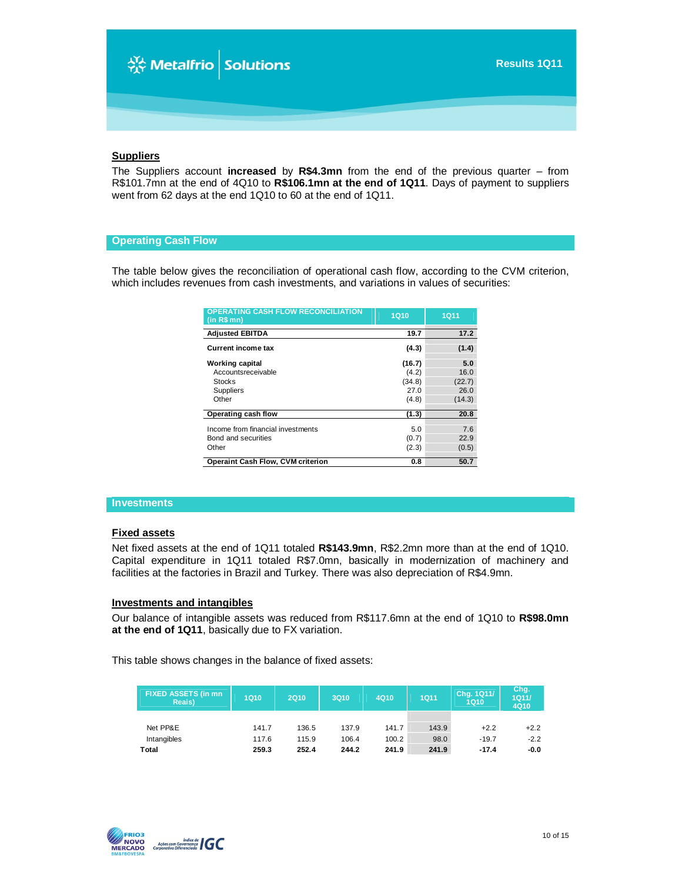#### **Suppliers**

The Suppliers account **increased** by **R\$4.3mn** from the end of the previous quarter – from R\$101.7mn at the end of 4Q10 to **R\$106.1mn at the end of 1Q11**. Days of payment to suppliers went from 62 days at the end 1Q10 to 60 at the end of 1Q11.

#### **Operating Cash Flow**

The table below gives the reconciliation of operational cash flow, according to the CVM criterion, which includes revenues from cash investments, and variations in values of securities:

| <b>OPERATING CASH FLOW RECONCILIATION</b><br>$(in R$$ mn $)$ | <b>1Q10</b> | <b>1Q11</b> |
|--------------------------------------------------------------|-------------|-------------|
| <b>Adjusted EBITDA</b>                                       | 19.7        | 17.2        |
| <b>Current income tax</b>                                    | (4.3)       | (1.4)       |
| <b>Working capital</b>                                       | (16.7)      | 5.0         |
| Accountsreceivable                                           | (4.2)       | 16.0        |
| <b>Stocks</b>                                                | (34.8)      | (22.7)      |
| Suppliers                                                    | 27.0        | 26.0        |
| Other                                                        | (4.8)       | (14.3)      |
| Operating cash flow                                          | (1.3)       | 20.8        |
| Income from financial investments                            | 5.0         | 7.6         |
| Bond and securities                                          | (0.7)       | 22.9        |
| Other                                                        | (2.3)       | (0.5)       |
| <b>Operaint Cash Flow, CVM criterion</b>                     | 0.8         | 50.7        |

#### **Investments**

#### **Fixed assets**

Net fixed assets at the end of 1Q11 totaled **R\$143.9mn**, R\$2.2mn more than at the end of 1Q10. Capital expenditure in 1Q11 totaled R\$7.0mn, basically in modernization of machinery and facilities at the factories in Brazil and Turkey. There was also depreciation of R\$4.9mn.

#### **Investments and intangibles**

Our balance of intangible assets was reduced from R\$117.6mn at the end of 1Q10 to **R\$98.0mn at the end of 1Q11**, basically due to FX variation.

This table shows changes in the balance of fixed assets:

| <b>FIXED ASSETS (in mn)</b><br>Reais) | <b>1Q10</b> | <b>2Q10</b> | 3Q10  | 4Q10  | <b>1Q11</b> | Chg. 1Q11/<br>1Q10 | Chg.<br>1Q11/<br>4Q10 |
|---------------------------------------|-------------|-------------|-------|-------|-------------|--------------------|-----------------------|
|                                       |             |             |       |       |             |                    |                       |
| Net PP&E                              | 141.7       | 136.5       | 137.9 | 141.7 | 143.9       | $+2.2$             | $+2.2$                |
| Intangibles                           | 117.6       | 115.9       | 106.4 | 100.2 | 98.0        | $-19.7$            | $-2.2$                |
| Total                                 | 259.3       | 252.4       | 244.2 | 241.9 | 241.9       | $-17.4$            | $-0.0$                |

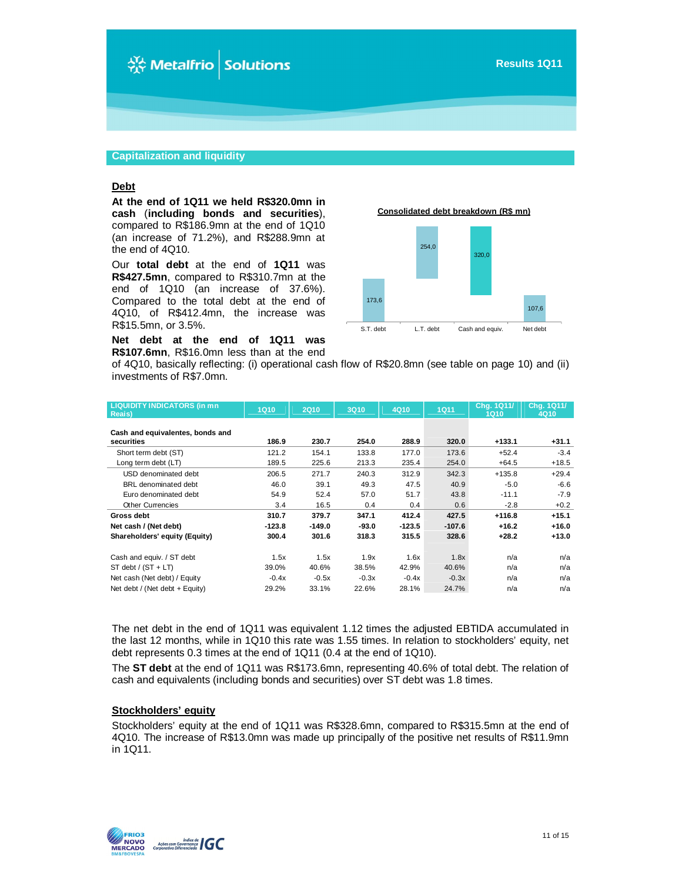#### **Capitalization and liquidity**

#### **Debt**

**At the end of 1Q11 we held R\$320.0mn in cash** (**including bonds and securities**), compared to R\$186.9mn at the end of 1Q10 (an increase of 71.2%), and R\$288.9mn at the end of 4Q10.

Our **total debt** at the end of **1Q11** was **R\$427.5mn**, compared to R\$310.7mn at the end of 1Q10 (an increase of 37.6%). Compared to the total debt at the end of 4Q10, of R\$412.4mn, the increase was R\$15.5mn, or 3.5%.

**Net debt at the end of 1Q11 was R\$107.6mn**, R\$16.0mn less than at the end **Consolidated debt breakdown (R\$ mn)**



of 4Q10, basically reflecting: (i) operational cash flow of R\$20.8mn (see table on page 10) and (ii) investments of R\$7.0mn.

| <b>LIQUIDITY INDICATORS (in mn</b><br>Reais)   | <b>1Q10</b> | <b>2Q10</b> | 3Q10    | 4Q10     | <b>1Q11</b> | Chg. 1Q11/<br><b>1Q10</b> | Chg. 1Q11/<br>4Q10 |
|------------------------------------------------|-------------|-------------|---------|----------|-------------|---------------------------|--------------------|
| Cash and equivalentes, bonds and<br>securities | 186.9       | 230.7       | 254.0   | 288.9    | 320.0       | $+133.1$                  | $+31.1$            |
| Short term debt (ST)                           | 121.2       | 154.1       | 133.8   | 177.0    | 173.6       | $+52.4$                   | $-3.4$             |
| Long term debt (LT)                            | 189.5       | 225.6       | 213.3   | 235.4    | 254.0       | $+64.5$                   | $+18.5$            |
| USD denominated debt                           | 206.5       | 271.7       | 240.3   | 312.9    | 342.3       | $+135.8$                  | $+29.4$            |
| BRL denominated debt                           | 46.0        | 39.1        | 49.3    | 47.5     | 40.9        | $-5.0$                    | $-6.6$             |
| Euro denominated debt                          | 54.9        | 52.4        | 57.0    | 51.7     | 43.8        | $-11.1$                   | $-7.9$             |
| <b>Other Currencies</b>                        | 3.4         | 16.5        | 0.4     | 0.4      | 0.6         | $-2.8$                    | $+0.2$             |
| Gross debt                                     | 310.7       | 379.7       | 347.1   | 412.4    | 427.5       | $+116.8$                  | $+15.1$            |
| Net cash / (Net debt)                          | $-123.8$    | $-149.0$    | $-93.0$ | $-123.5$ | $-107.6$    | $+16.2$                   | $+16.0$            |
| Shareholders' equity (Equity)                  | 300.4       | 301.6       | 318.3   | 315.5    | 328.6       | $+28.2$                   | $+13.0$            |
| Cash and equiv. / ST debt                      | 1.5x        | 1.5x        | 1.9x    | 1.6x     | 1.8x        | n/a                       | n/a                |
| $ST$ debt / $(ST + LT)$                        | 39.0%       | 40.6%       | 38.5%   | 42.9%    | 40.6%       | n/a                       | n/a                |
| Net cash (Net debt) / Equity                   | $-0.4x$     | $-0.5x$     | $-0.3x$ | $-0.4x$  | $-0.3x$     | n/a                       | n/a                |
| Net debt / (Net debt + Equity)                 | 29.2%       | 33.1%       | 22.6%   | 28.1%    | 24.7%       | n/a                       | n/a                |

The net debt in the end of 1Q11 was equivalent 1.12 times the adjusted EBTIDA accumulated in the last 12 months, while in 1Q10 this rate was 1.55 times. In relation to stockholders' equity, net debt represents 0.3 times at the end of 1Q11 (0.4 at the end of 1Q10).

The **ST debt** at the end of 1Q11 was R\$173.6mn, representing 40.6% of total debt. The relation of cash and equivalents (including bonds and securities) over ST debt was 1.8 times.

#### **Stockholders' equity**

Stockholders' equity at the end of 1Q11 was R\$328.6mn, compared to R\$315.5mn at the end of 4Q10. The increase of R\$13.0mn was made up principally of the positive net results of R\$11.9mn in 1Q11.

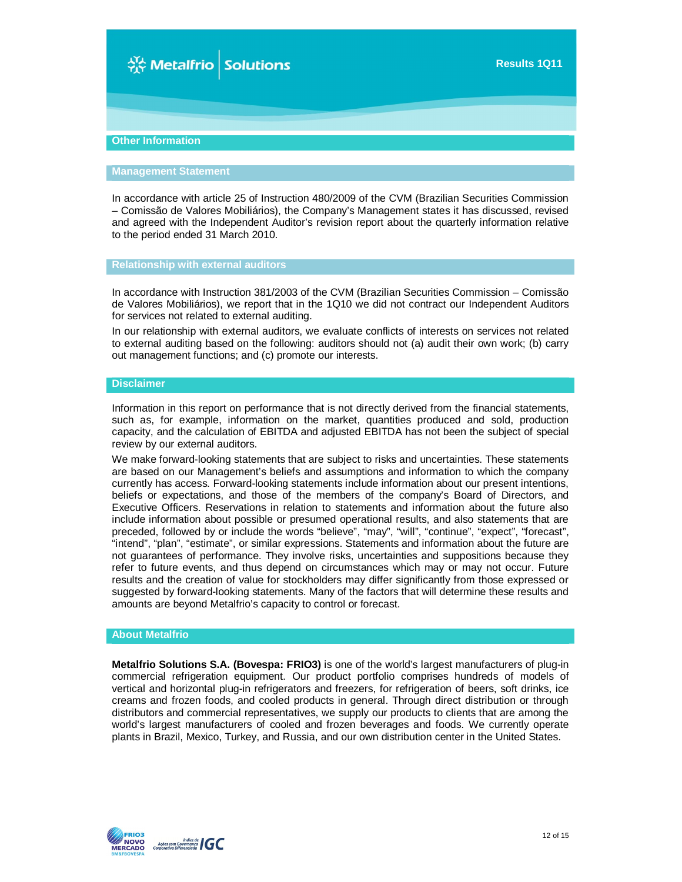# ☆ Metalfrio Solutions

#### **Other Information**

#### **Management Statement**

In accordance with article 25 of Instruction 480/2009 of the CVM (Brazilian Securities Commission – Comissão de Valores Mobiliários), the Company's Management states it has discussed, revised and agreed with the Independent Auditor's revision report about the quarterly information relative to the period ended 31 March 2010.

**Relationship with external auditors**

In accordance with Instruction 381/2003 of the CVM (Brazilian Securities Commission – Comissão de Valores Mobiliários), we report that in the 1Q10 we did not contract our Independent Auditors for services not related to external auditing.

In our relationship with external auditors, we evaluate conflicts of interests on services not related to external auditing based on the following: auditors should not (a) audit their own work; (b) carry out management functions; and (c) promote our interests.

#### **Disclaimer**

Information in this report on performance that is not directly derived from the financial statements, such as, for example, information on the market, quantities produced and sold, production capacity, and the calculation of EBITDA and adjusted EBITDA has not been the subject of special review by our external auditors.

We make forward-looking statements that are subject to risks and uncertainties. These statements are based on our Management's beliefs and assumptions and information to which the company currently has access. Forward-looking statements include information about our present intentions, beliefs or expectations, and those of the members of the company's Board of Directors, and Executive Officers. Reservations in relation to statements and information about the future also include information about possible or presumed operational results, and also statements that are preceded, followed by or include the words "believe", "may", "will", "continue", "expect", "forecast", "intend", "plan", "estimate", or similar expressions. Statements and information about the future are not guarantees of performance. They involve risks, uncertainties and suppositions because they refer to future events, and thus depend on circumstances which may or may not occur. Future results and the creation of value for stockholders may differ significantly from those expressed or suggested by forward-looking statements. Many of the factors that will determine these results and amounts are beyond Metalfrio's capacity to control or forecast.

#### **About Metalfrio**

**Metalfrio Solutions S.A. (Bovespa: FRIO3)** is one of the world's largest manufacturers of plug-in commercial refrigeration equipment. Our product portfolio comprises hundreds of models of vertical and horizontal plug-in refrigerators and freezers, for refrigeration of beers, soft drinks, ice creams and frozen foods, and cooled products in general. Through direct distribution or through distributors and commercial representatives, we supply our products to clients that are among the world's largest manufacturers of cooled and frozen beverages and foods. We currently operate plants in Brazil, Mexico, Turkey, and Russia, and our own distribution center in the United States.

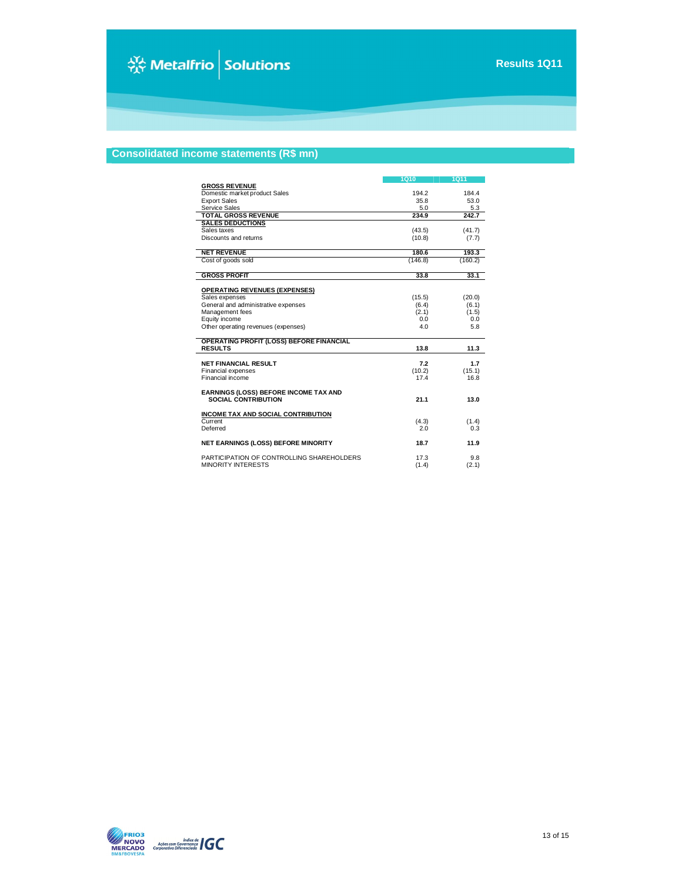## **Consolidated income statements (R\$ mn)**

|                                                                   | <b>1Q10</b> | <b>1Q11</b> |
|-------------------------------------------------------------------|-------------|-------------|
| <b>GROSS REVENUE</b>                                              |             |             |
| Domestic market product Sales                                     | 194.2       | 184.4       |
| <b>Export Sales</b>                                               | 35.8        | 53.0        |
| Service Sales                                                     | 5.0         | 5.3         |
| <b>TOTAL GROSS REVENUE</b>                                        | 234.9       | 242.7       |
| <b>SALES DEDUCTIONS</b>                                           |             |             |
| Sales taxes                                                       | (43.5)      | (41.7)      |
| Discounts and returns                                             | (10.8)      | (7.7)       |
| <b>NET REVENUE</b>                                                | 180.6       | 193.3       |
| Cost of goods sold                                                | (146.8)     | (160.2)     |
|                                                                   |             |             |
| <b>GROSS PROFIT</b>                                               | 33.8        | 33.1        |
| <b>OPERATING REVENUES (EXPENSES)</b>                              |             |             |
| Sales expenses                                                    | (15.5)      | (20.0)      |
| General and administrative expenses                               | (6.4)       | (6.1)       |
| Management fees                                                   | (2.1)       | (1.5)       |
| Equity income                                                     | 0.0         | 0.0         |
| Other operating revenues (expenses)                               | 4.0         | 5.8         |
|                                                                   |             |             |
| <b>OPERATING PROFIT (LOSS) BEFORE FINANCIAL</b><br><b>RESULTS</b> | 13.8        | 11.3        |
|                                                                   |             |             |
| <b>NET FINANCIAL RESULT</b>                                       | 7.2         | 1.7         |
| Financial expenses                                                | (10.2)      | (15.1)      |
| Financial income                                                  | 17.4        | 16.8        |
| EARNINGS (LOSS) BEFORE INCOME TAX AND                             |             |             |
| <b>SOCIAL CONTRIBUTION</b>                                        | 21.1        | 13.0        |
|                                                                   |             |             |
| <b>INCOME TAX AND SOCIAL CONTRIBUTION</b>                         |             |             |
| Current                                                           | (4.3)       | (1.4)       |
| Deferred                                                          | 2.0         | 0.3         |
| <b>NET EARNINGS (LOSS) BEFORE MINORITY</b>                        | 18.7        | 11.9        |
|                                                                   |             |             |
| PARTICIPATION OF CONTROLLING SHAREHOLDERS                         | 17.3        | 9.8         |
| <b>MINORITY INTERESTS</b>                                         | (1.4)       | (2.1)       |

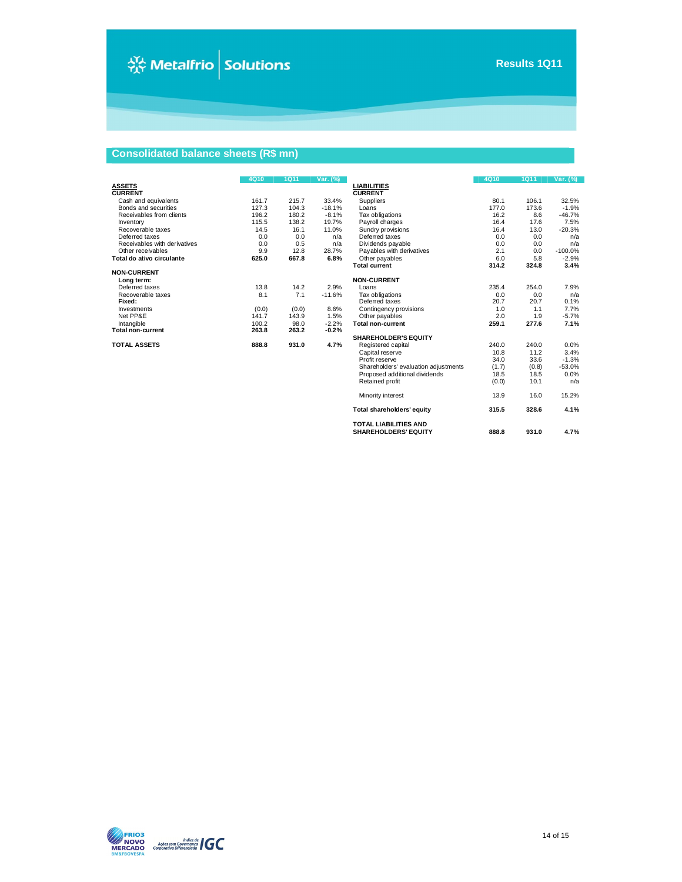**TOTAL LIABILITIES AND SHAREHOLDERS' EQUITY 888.8 931.0 4.7%**

# **Consolidated balance sheets (R\$ mn)**

|                              | 4Q10  | <b>1Q11</b> | Var. (%) |                                      | 4Q10  | 1Q11  | Var. (%)  |
|------------------------------|-------|-------------|----------|--------------------------------------|-------|-------|-----------|
| <b>ASSETS</b>                |       |             |          | <b>LIABILITIES</b>                   |       |       |           |
| <b>CURRENT</b>               |       |             |          | <b>CURRENT</b>                       |       |       |           |
| Cash and equivalents         | 161.7 | 215.7       | 33.4%    | Suppliers                            | 80.1  | 106.1 | 32.5%     |
| Bonds and securities         | 127.3 | 104.3       | $-18.1%$ | Loans                                | 177.0 | 173.6 | $-1.9%$   |
| Receivables from clients     | 196.2 | 180.2       | $-8.1%$  | Tax obligations                      | 16.2  | 8.6   | $-46.7%$  |
| Inventory                    | 115.5 | 138.2       | 19.7%    | Payroll charges                      | 16.4  | 17.6  | 7.5%      |
| Recoverable taxes            | 14.5  | 16.1        | 11.0%    | Sundry provisions                    | 16.4  | 13.0  | $-20.3%$  |
| Deferred taxes               | 0.0   | 0.0         | n/a      | Deferred taxes                       | 0.0   | 0.0   | n/a       |
| Receivables with derivatives | 0.0   | 0.5         | n/a      | Dividends payable                    | 0.0   | 0.0   | n/a       |
| Other receivables            | 9.9   | 12.8        | 28.7%    | Payables with derivatives            | 2.1   | 0.0   | $-100.0%$ |
| Total do ativo circulante    | 625.0 | 667.8       | 6.8%     | Other payables                       | 6.0   | 5.8   | $-2.9%$   |
|                              |       |             |          | <b>Total current</b>                 | 314.2 | 324.8 | 3.4%      |
| <b>NON-CURRENT</b>           |       |             |          |                                      |       |       |           |
| Long term:                   |       |             |          | <b>NON-CURRENT</b>                   |       |       |           |
| Deferred taxes               | 13.8  | 14.2        | 2.9%     | Loans                                | 235.4 | 254.0 | 7.9%      |
| Recoverable taxes            | 8.1   | 7.1         | $-11.6%$ | Tax obligations                      | 0.0   | 0.0   | n/a       |
| Fixed:                       |       |             |          | Deferred taxes                       | 20.7  | 20.7  | 0.1%      |
| Investments                  | (0.0) | (0.0)       | 8.6%     | Contingency provisions               | 1.0   | 1.1   | 7.7%      |
| Net PP&E                     | 141.7 | 143.9       | 1.5%     | Other payables                       | 2.0   | 1.9   | $-5.7%$   |
| Intangible                   | 100.2 | 98.0        | $-2.2%$  | <b>Total non-current</b>             | 259.1 | 277.6 | 7.1%      |
| <b>Total non-current</b>     | 263.8 | 263.2       | $-0.2%$  |                                      |       |       |           |
|                              |       |             |          | <b>SHAREHOLDER'S EQUITY</b>          |       |       |           |
| <b>TOTAL ASSETS</b>          | 888.8 | 931.0       | 4.7%     | Registered capital                   | 240.0 | 240.0 | 0.0%      |
|                              |       |             |          | Capital reserve                      | 10.8  | 11.2  | 3.4%      |
|                              |       |             |          | Profit reserve                       | 34.0  | 33.6  | $-1.3%$   |
|                              |       |             |          | Shareholders' evaluation adjustments | (1.7) | (0.8) | $-53.0%$  |
|                              |       |             |          | Proposed additional dividends        | 18.5  | 18.5  | 0.0%      |
|                              |       |             |          | Retained profit                      | (0.0) | 10.1  | n/a       |
|                              |       |             |          | Minority interest                    | 13.9  | 16.0  | 15.2%     |
|                              |       |             |          | Total shareholders' equity           | 315.5 | 328.6 | 4.1%      |